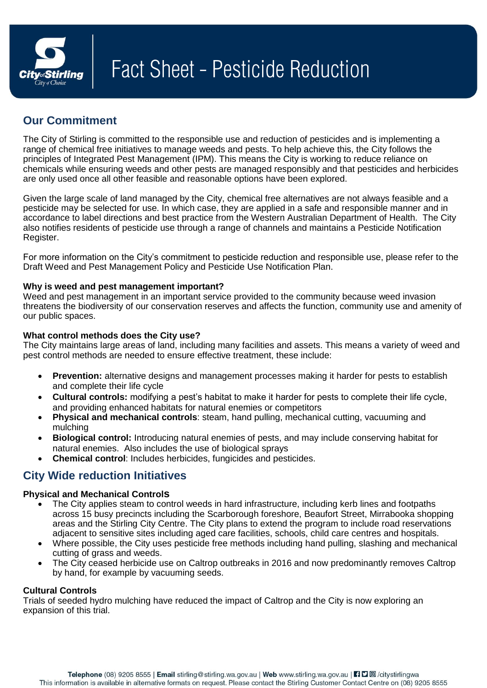

# **Our Commitment**

The City of Stirling is committed to the responsible use and reduction of pesticides and is implementing a range of chemical free initiatives to manage weeds and pests. To help achieve this, the City follows the principles of Integrated Pest Management (IPM). This means the City is working to reduce reliance on chemicals while ensuring weeds and other pests are managed responsibly and that pesticides and herbicides are only used once all other feasible and reasonable options have been explored.

Given the large scale of land managed by the City, chemical free alternatives are not always feasible and a pesticide may be selected for use. In which case, they are applied in a safe and responsible manner and in accordance to label directions and best practice from the Western Australian Department of Health. The City also notifies residents of pesticide use through a range of channels and maintains a Pesticide Notification Register.

For more information on the City's commitment to pesticide reduction and responsible use, please refer to the Draft Weed and Pest Management Policy and Pesticide Use Notification Plan.

## **Why is weed and pest management important?**

Weed and pest management in an important service provided to the community because weed invasion threatens the biodiversity of our conservation reserves and affects the function, community use and amenity of our public spaces.

## **What control methods does the City use?**

The City maintains large areas of land, including many facilities and assets. This means a variety of weed and pest control methods are needed to ensure effective treatment, these include:

- **Prevention:** alternative designs and management processes making it harder for pests to establish and complete their life cycle
- **Cultural controls:** modifying a pest's habitat to make it harder for pests to complete their life cycle, and providing enhanced habitats for natural enemies or competitors
- **Physical and mechanical controls**: steam, hand pulling, mechanical cutting, vacuuming and mulching
- **Biological control:** Introducing natural enemies of pests, and may include conserving habitat for natural enemies. Also includes the use of biological sprays
- **Chemical control**: Includes herbicides, fungicides and pesticides.

# **City Wide reduction Initiatives**

## **Physical and Mechanical Controls**

- The City applies steam to control weeds in hard infrastructure, including kerb lines and footpaths across 15 busy precincts including the Scarborough foreshore, Beaufort Street, Mirrabooka shopping areas and the Stirling City Centre. The City plans to extend the program to include road reservations adjacent to sensitive sites including aged care facilities, schools, child care centres and hospitals.
- Where possible, the City uses pesticide free methods including hand pulling, slashing and mechanical cutting of grass and weeds.
- The City ceased herbicide use on Caltrop outbreaks in 2016 and now predominantly removes Caltrop by hand, for example by vacuuming seeds.

## **Cultural Controls**

Trials of seeded hydro mulching have reduced the impact of Caltrop and the City is now exploring an expansion of this trial.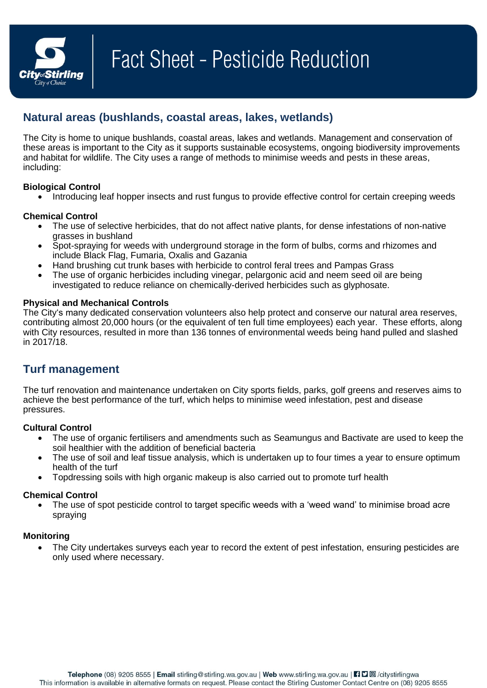

# **Natural areas (bushlands, coastal areas, lakes, wetlands)**

The City is home to unique bushlands, coastal areas, lakes and wetlands. Management and conservation of these areas is important to the City as it supports sustainable ecosystems, ongoing biodiversity improvements and habitat for wildlife. The City uses a range of methods to minimise weeds and pests in these areas, including:

## **Biological Control**

Introducing leaf hopper insects and rust fungus to provide effective control for certain creeping weeds

## **Chemical Control**

- The use of selective herbicides, that do not affect native plants, for dense infestations of non-native grasses in bushland
- Spot-spraying for weeds with underground storage in the form of bulbs, corms and rhizomes and include Black Flag, Fumaria, Oxalis and Gazania
- Hand brushing cut trunk bases with herbicide to control feral trees and Pampas Grass
- The use of organic herbicides including vinegar, pelargonic acid and neem seed oil are being investigated to reduce reliance on chemically-derived herbicides such as glyphosate.

## **Physical and Mechanical Controls**

The City's many dedicated conservation volunteers also help protect and conserve our natural area reserves, contributing almost 20,000 hours (or the equivalent of ten full time employees) each year. These efforts, along with City resources, resulted in more than 136 tonnes of environmental weeds being hand pulled and slashed in 2017/18.

# **Turf management**

The turf renovation and maintenance undertaken on City sports fields, parks, golf greens and reserves aims to achieve the best performance of the turf, which helps to minimise weed infestation, pest and disease pressures.

## **Cultural Control**

- The use of organic fertilisers and amendments such as Seamungus and Bactivate are used to keep the soil healthier with the addition of beneficial bacteria
- The use of soil and leaf tissue analysis, which is undertaken up to four times a year to ensure optimum health of the turf
- Topdressing soils with high organic makeup is also carried out to promote turf health

## **Chemical Control**

 The use of spot pesticide control to target specific weeds with a 'weed wand' to minimise broad acre spraying

## **Monitoring**

 The City undertakes surveys each year to record the extent of pest infestation, ensuring pesticides are only used where necessary.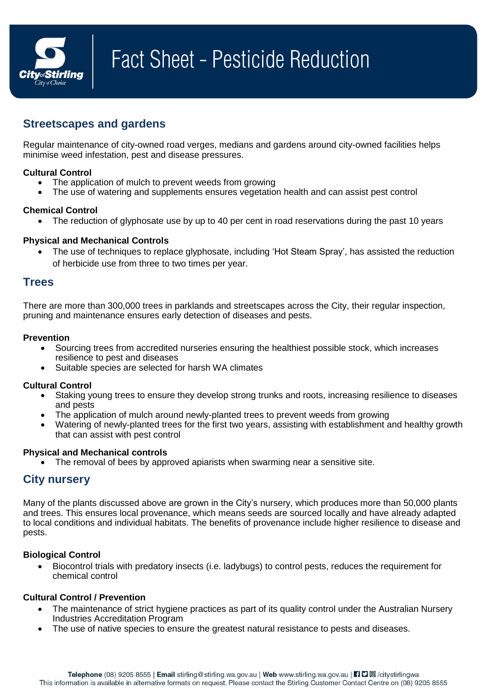

# **Streetscapes and gardens**

Regular maintenance of city-owned road verges, medians and gardens around city-owned facilities helps minimise weed infestation, pest and disease pressures.

## **Cultural Control**

- The application of mulch to prevent weeds from growing
- The use of watering and supplements ensures vegetation health and can assist pest control

## **Chemical Control**

• The reduction of glyphosate use by up to 40 per cent in road reservations during the past 10 years

## **Physical and Mechanical Controls**

 The use of techniques to replace glyphosate, including 'Hot Steam Spray', has assisted the reduction of herbicide use from three to two times per year.

## **Trees**

There are more than 300,000 trees in parklands and streetscapes across the City, their regular inspection, pruning and maintenance ensures early detection of diseases and pests.

### **Prevention**

- Sourcing trees from accredited nurseries ensuring the healthiest possible stock, which increases resilience to pest and diseases
- Suitable species are selected for harsh WA climates

## **Cultural Control**

- Staking young trees to ensure they develop strong trunks and roots, increasing resilience to diseases and pests
- The application of mulch around newly-planted trees to prevent weeds from growing
- Watering of newly-planted trees for the first two years, assisting with establishment and healthy growth that can assist with pest control

## **Physical and Mechanical controls**

The removal of bees by approved apiarists when swarming near a sensitive site.

# **City nursery**

Many of the plants discussed above are grown in the City's nursery, which produces more than 50,000 plants and trees. This ensures local provenance, which means seeds are sourced locally and have already adapted to local conditions and individual habitats. The benefits of provenance include higher resilience to disease and pests.

## **Biological Control**

 Biocontrol trials with predatory insects (i.e. ladybugs) to control pests, reduces the requirement for chemical control

## **Cultural Control / Prevention**

- The maintenance of strict hygiene practices as part of its quality control under the Australian Nursery Industries Accreditation Program
- The use of native species to ensure the greatest natural resistance to pests and diseases.